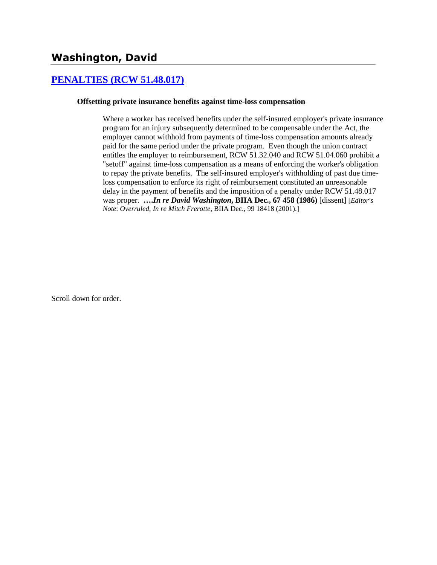## **[PENALTIES \(RCW 51.48.017\)](http://www.biia.wa.gov/SDSubjectIndex.html#PENALTIES)**

#### **Offsetting private insurance benefits against time-loss compensation**

Where a worker has received benefits under the self-insured employer's private insurance program for an injury subsequently determined to be compensable under the Act, the employer cannot withhold from payments of time-loss compensation amounts already paid for the same period under the private program. Even though the union contract entitles the employer to reimbursement, RCW 51.32.040 and RCW 51.04.060 prohibit a "setoff" against time-loss compensation as a means of enforcing the worker's obligation to repay the private benefits. The self-insured employer's withholding of past due timeloss compensation to enforce its right of reimbursement constituted an unreasonable delay in the payment of benefits and the imposition of a penalty under RCW 51.48.017 was proper. **….***In re David Washington***, BIIA Dec., 67 458 (1986)** [dissent] [*Editor's Note*: *Overruled*, *In re Mitch Frerotte*, BIIA Dec., 99 18418 (2001).]

Scroll down for order.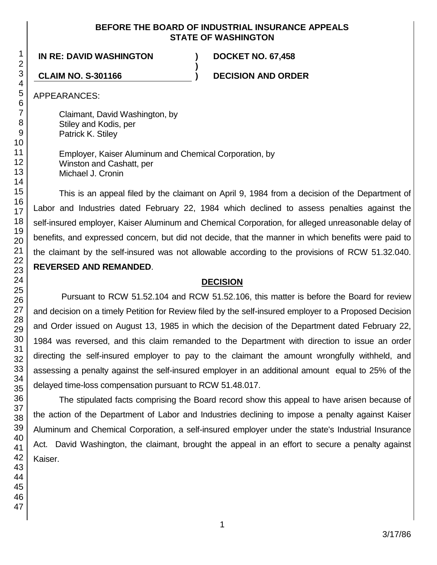## **BEFORE THE BOARD OF INDUSTRIAL INSURANCE APPEALS STATE OF WASHINGTON**

**)**

## **IN RE: DAVID WASHINGTON ) DOCKET NO. 67,458**

**CLAIM NO. S-301166 ) DECISION AND ORDER**

APPEARANCES:

Claimant, David Washington, by Stiley and Kodis, per Patrick K. Stiley

Employer, Kaiser Aluminum and Chemical Corporation, by Winston and Cashatt, per Michael J. Cronin

This is an appeal filed by the claimant on April 9, 1984 from a decision of the Department of Labor and Industries dated February 22, 1984 which declined to assess penalties against the self-insured employer, Kaiser Aluminum and Chemical Corporation, for alleged unreasonable delay of benefits, and expressed concern, but did not decide, that the manner in which benefits were paid to the claimant by the self-insured was not allowable according to the provisions of RCW 51.32.040. **REVERSED AND REMANDED**.

## **DECISION**

Pursuant to RCW 51.52.104 and RCW 51.52.106, this matter is before the Board for review and decision on a timely Petition for Review filed by the self-insured employer to a Proposed Decision and Order issued on August 13, 1985 in which the decision of the Department dated February 22, 1984 was reversed, and this claim remanded to the Department with direction to issue an order directing the self-insured employer to pay to the claimant the amount wrongfully withheld, and assessing a penalty against the self-insured employer in an additional amount equal to 25% of the delayed time-loss compensation pursuant to RCW 51.48.017.

The stipulated facts comprising the Board record show this appeal to have arisen because of the action of the Department of Labor and Industries declining to impose a penalty against Kaiser Aluminum and Chemical Corporation, a self-insured employer under the state's Industrial Insurance Act. David Washington, the claimant, brought the appeal in an effort to secure a penalty against Kaiser.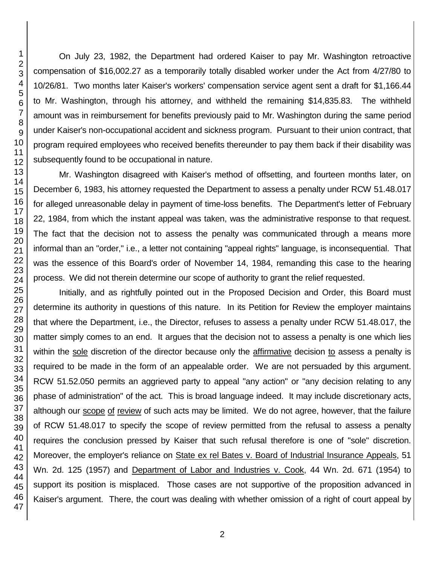On July 23, 1982, the Department had ordered Kaiser to pay Mr. Washington retroactive compensation of \$16,002.27 as a temporarily totally disabled worker under the Act from 4/27/80 to 10/26/81. Two months later Kaiser's workers' compensation service agent sent a draft for \$1,166.44 to Mr. Washington, through his attorney, and withheld the remaining \$14,835.83. The withheld amount was in reimbursement for benefits previously paid to Mr. Washington during the same period under Kaiser's non-occupational accident and sickness program. Pursuant to their union contract, that program required employees who received benefits thereunder to pay them back if their disability was subsequently found to be occupational in nature.

Mr. Washington disagreed with Kaiser's method of offsetting, and fourteen months later, on December 6, 1983, his attorney requested the Department to assess a penalty under RCW 51.48.017 for alleged unreasonable delay in payment of time-loss benefits. The Department's letter of February 22, 1984, from which the instant appeal was taken, was the administrative response to that request. The fact that the decision not to assess the penalty was communicated through a means more informal than an "order," i.e., a letter not containing "appeal rights" language, is inconsequential. That was the essence of this Board's order of November 14, 1984, remanding this case to the hearing process. We did not therein determine our scope of authority to grant the relief requested.

Initially, and as rightfully pointed out in the Proposed Decision and Order, this Board must determine its authority in questions of this nature. In its Petition for Review the employer maintains that where the Department, i.e., the Director, refuses to assess a penalty under RCW 51.48.017, the matter simply comes to an end. It argues that the decision not to assess a penalty is one which lies within the sole discretion of the director because only the affirmative decision to assess a penalty is required to be made in the form of an appealable order. We are not persuaded by this argument. RCW 51.52.050 permits an aggrieved party to appeal "any action" or "any decision relating to any phase of administration" of the act. This is broad language indeed. It may include discretionary acts, although our scope of review of such acts may be limited. We do not agree, however, that the failure of RCW 51.48.017 to specify the scope of review permitted from the refusal to assess a penalty requires the conclusion pressed by Kaiser that such refusal therefore is one of "sole" discretion. Moreover, the employer's reliance on State ex rel Bates v. Board of Industrial Insurance Appeals, 51 Wn. 2d. 125 (1957) and Department of Labor and Industries v. Cook, 44 Wn. 2d. 671 (1954) to support its position is misplaced. Those cases are not supportive of the proposition advanced in Kaiser's argument. There, the court was dealing with whether omission of a right of court appeal by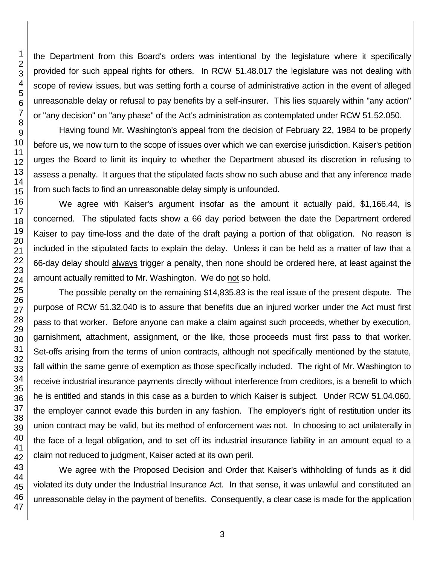the Department from this Board's orders was intentional by the legislature where it specifically provided for such appeal rights for others. In RCW 51.48.017 the legislature was not dealing with scope of review issues, but was setting forth a course of administrative action in the event of alleged unreasonable delay or refusal to pay benefits by a self-insurer. This lies squarely within "any action" or "any decision" on "any phase" of the Act's administration as contemplated under RCW 51.52.050.

Having found Mr. Washington's appeal from the decision of February 22, 1984 to be properly before us, we now turn to the scope of issues over which we can exercise jurisdiction. Kaiser's petition urges the Board to limit its inquiry to whether the Department abused its discretion in refusing to assess a penalty. It argues that the stipulated facts show no such abuse and that any inference made from such facts to find an unreasonable delay simply is unfounded.

We agree with Kaiser's argument insofar as the amount it actually paid, \$1,166.44, is concerned. The stipulated facts show a 66 day period between the date the Department ordered Kaiser to pay time-loss and the date of the draft paying a portion of that obligation. No reason is included in the stipulated facts to explain the delay. Unless it can be held as a matter of law that a 66-day delay should always trigger a penalty, then none should be ordered here, at least against the amount actually remitted to Mr. Washington. We do not so hold.

The possible penalty on the remaining \$14,835.83 is the real issue of the present dispute. The purpose of RCW 51.32.040 is to assure that benefits due an injured worker under the Act must first pass to that worker. Before anyone can make a claim against such proceeds, whether by execution, garnishment, attachment, assignment, or the like, those proceeds must first pass to that worker. Set-offs arising from the terms of union contracts, although not specifically mentioned by the statute, fall within the same genre of exemption as those specifically included. The right of Mr. Washington to receive industrial insurance payments directly without interference from creditors, is a benefit to which he is entitled and stands in this case as a burden to which Kaiser is subject. Under RCW 51.04.060, the employer cannot evade this burden in any fashion. The employer's right of restitution under its union contract may be valid, but its method of enforcement was not. In choosing to act unilaterally in the face of a legal obligation, and to set off its industrial insurance liability in an amount equal to a claim not reduced to judgment, Kaiser acted at its own peril.

We agree with the Proposed Decision and Order that Kaiser's withholding of funds as it did violated its duty under the Industrial Insurance Act. In that sense, it was unlawful and constituted an unreasonable delay in the payment of benefits. Consequently, a clear case is made for the application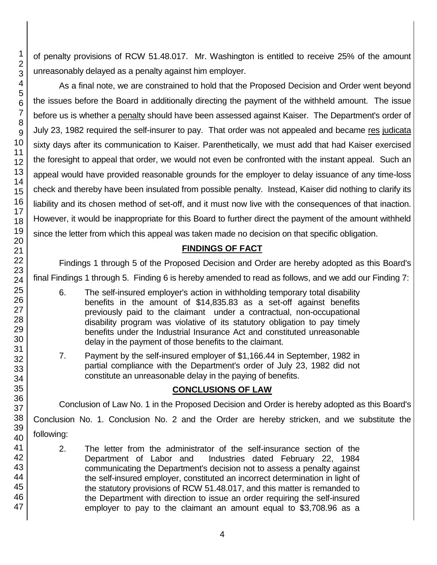of penalty provisions of RCW 51.48.017. Mr. Washington is entitled to receive 25% of the amount unreasonably delayed as a penalty against him employer.

As a final note, we are constrained to hold that the Proposed Decision and Order went beyond the issues before the Board in additionally directing the payment of the withheld amount. The issue before us is whether a penalty should have been assessed against Kaiser. The Department's order of July 23, 1982 required the self-insurer to pay. That order was not appealed and became res judicata sixty days after its communication to Kaiser. Parenthetically, we must add that had Kaiser exercised the foresight to appeal that order, we would not even be confronted with the instant appeal. Such an appeal would have provided reasonable grounds for the employer to delay issuance of any time-loss check and thereby have been insulated from possible penalty. Instead, Kaiser did nothing to clarify its liability and its chosen method of set-off, and it must now live with the consequences of that inaction. However, it would be inappropriate for this Board to further direct the payment of the amount withheld since the letter from which this appeal was taken made no decision on that specific obligation.

## **FINDINGS OF FACT**

Findings 1 through 5 of the Proposed Decision and Order are hereby adopted as this Board's final Findings 1 through 5. Finding 6 is hereby amended to read as follows, and we add our Finding 7:

- 6. The self-insured employer's action in withholding temporary total disability benefits in the amount of \$14,835.83 as a set-off against benefits previously paid to the claimant under a contractual, non-occupational disability program was violative of its statutory obligation to pay timely benefits under the Industrial Insurance Act and constituted unreasonable delay in the payment of those benefits to the claimant.
- 7. Payment by the self-insured employer of \$1,166.44 in September, 1982 in partial compliance with the Department's order of July 23, 1982 did not constitute an unreasonable delay in the paying of benefits.

# **CONCLUSIONS OF LAW**

Conclusion of Law No. 1 in the Proposed Decision and Order is hereby adopted as this Board's

Conclusion No. 1. Conclusion No. 2 and the Order are hereby stricken, and we substitute the

following:

46 47

2. The letter from the administrator of the self-insurance section of the Department of Labor and Industries dated February 22, 1984 communicating the Department's decision not to assess a penalty against the self-insured employer, constituted an incorrect determination in light of the statutory provisions of RCW 51.48.017, and this matter is remanded to the Department with direction to issue an order requiring the self-insured employer to pay to the claimant an amount equal to \$3,708.96 as a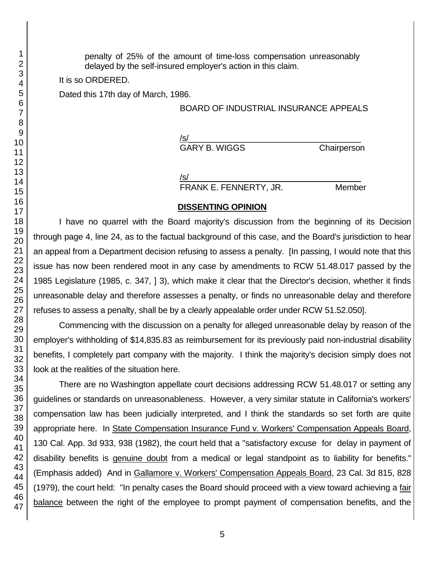penalty of 25% of the amount of time-loss compensation unreasonably delayed by the self-insured employer's action in this claim.

It is so ORDERED.

Dated this 17th day of March, 1986.

## BOARD OF INDUSTRIAL INSURANCE APPEALS

/s/  $\,$ GARY B. WIGGS Chairperson

/s/  $\,$ 

FRANK E. FENNERTY, JR. Member

### **DISSENTING OPINION**

I have no quarrel with the Board majority's discussion from the beginning of its Decision through page 4, line 24, as to the factual background of this case, and the Board's jurisdiction to hear an appeal from a Department decision refusing to assess a penalty. [In passing, I would note that this issue has now been rendered moot in any case by amendments to RCW 51.48.017 passed by the 1985 Legislature (1985, c. 347, ] 3), which make it clear that the Director's decision, whether it finds unreasonable delay and therefore assesses a penalty, or finds no unreasonable delay and therefore refuses to assess a penalty, shall be by a clearly appealable order under RCW 51.52.050].

Commencing with the discussion on a penalty for alleged unreasonable delay by reason of the employer's withholding of \$14,835.83 as reimbursement for its previously paid non-industrial disability benefits, I completely part company with the majority. I think the majority's decision simply does not look at the realities of the situation here.

There are no Washington appellate court decisions addressing RCW 51.48.017 or setting any guidelines or standards on unreasonableness. However, a very similar statute in California's workers' compensation law has been judicially interpreted, and I think the standards so set forth are quite appropriate here. In State Compensation Insurance Fund v. Workers' Compensation Appeals Board, 130 Cal. App. 3d 933, 938 (1982), the court held that a "satisfactory excuse for delay in payment of disability benefits is genuine doubt from a medical or legal standpoint as to liability for benefits." (Emphasis added) And in Gallamore v. Workers' Compensation Appeals Board, 23 Cal. 3d 815, 828 (1979), the court held: "In penalty cases the Board should proceed with a view toward achieving a fair balance between the right of the employee to prompt payment of compensation benefits, and the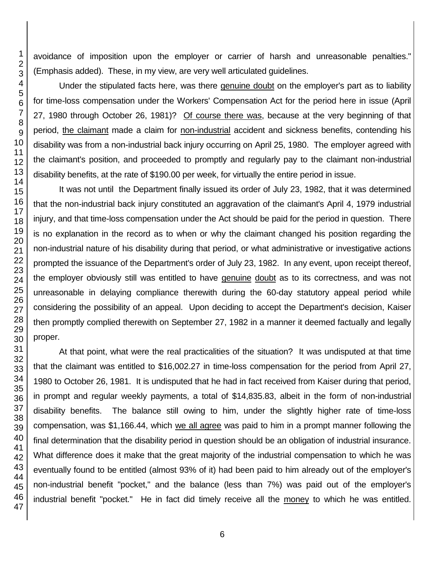avoidance of imposition upon the employer or carrier of harsh and unreasonable penalties." (Emphasis added). These, in my view, are very well articulated guidelines.

Under the stipulated facts here, was there genuine doubt on the employer's part as to liability for time-loss compensation under the Workers' Compensation Act for the period here in issue (April 27, 1980 through October 26, 1981)? Of course there was, because at the very beginning of that period, the claimant made a claim for non-industrial accident and sickness benefits, contending his disability was from a non-industrial back injury occurring on April 25, 1980. The employer agreed with the claimant's position, and proceeded to promptly and regularly pay to the claimant non-industrial disability benefits, at the rate of \$190.00 per week, for virtually the entire period in issue.

It was not until the Department finally issued its order of July 23, 1982, that it was determined that the non-industrial back injury constituted an aggravation of the claimant's April 4, 1979 industrial injury, and that time-loss compensation under the Act should be paid for the period in question. There is no explanation in the record as to when or why the claimant changed his position regarding the non-industrial nature of his disability during that period, or what administrative or investigative actions prompted the issuance of the Department's order of July 23, 1982. In any event, upon receipt thereof, the employer obviously still was entitled to have genuine doubt as to its correctness, and was not unreasonable in delaying compliance therewith during the 60-day statutory appeal period while considering the possibility of an appeal. Upon deciding to accept the Department's decision, Kaiser then promptly complied therewith on September 27, 1982 in a manner it deemed factually and legally proper.

At that point, what were the real practicalities of the situation? It was undisputed at that time that the claimant was entitled to \$16,002.27 in time-loss compensation for the period from April 27, to October 26, 1981. It is undisputed that he had in fact received from Kaiser during that period, in prompt and regular weekly payments, a total of \$14,835.83, albeit in the form of non-industrial disability benefits. The balance still owing to him, under the slightly higher rate of time-loss compensation, was \$1,166.44, which we all agree was paid to him in a prompt manner following the final determination that the disability period in question should be an obligation of industrial insurance. What difference does it make that the great majority of the industrial compensation to which he was eventually found to be entitled (almost 93% of it) had been paid to him already out of the employer's non-industrial benefit "pocket," and the balance (less than 7%) was paid out of the employer's industrial benefit "pocket." He in fact did timely receive all the money to which he was entitled.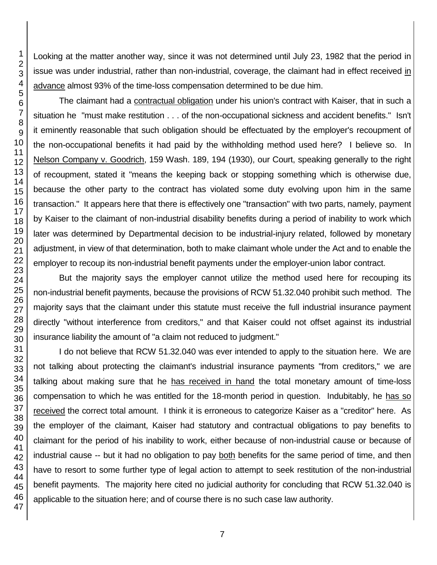Looking at the matter another way, since it was not determined until July 23, 1982 that the period in issue was under industrial, rather than non-industrial, coverage, the claimant had in effect received in advance almost 93% of the time-loss compensation determined to be due him.

The claimant had a contractual obligation under his union's contract with Kaiser, that in such a situation he "must make restitution . . . of the non-occupational sickness and accident benefits." Isn't it eminently reasonable that such obligation should be effectuated by the employer's recoupment of the non-occupational benefits it had paid by the withholding method used here? I believe so. In Nelson Company v. Goodrich, 159 Wash. 189, 194 (1930), our Court, speaking generally to the right of recoupment, stated it "means the keeping back or stopping something which is otherwise due, because the other party to the contract has violated some duty evolving upon him in the same transaction." It appears here that there is effectively one "transaction" with two parts, namely, payment by Kaiser to the claimant of non-industrial disability benefits during a period of inability to work which later was determined by Departmental decision to be industrial-injury related, followed by monetary adjustment, in view of that determination, both to make claimant whole under the Act and to enable the employer to recoup its non-industrial benefit payments under the employer-union labor contract.

But the majority says the employer cannot utilize the method used here for recouping its non-industrial benefit payments, because the provisions of RCW 51.32.040 prohibit such method. The majority says that the claimant under this statute must receive the full industrial insurance payment directly "without interference from creditors," and that Kaiser could not offset against its industrial insurance liability the amount of "a claim not reduced to judgment."

I do not believe that RCW 51.32.040 was ever intended to apply to the situation here. We are not talking about protecting the claimant's industrial insurance payments "from creditors," we are talking about making sure that he has received in hand the total monetary amount of time-loss compensation to which he was entitled for the 18-month period in question. Indubitably, he has so received the correct total amount. I think it is erroneous to categorize Kaiser as a "creditor" here. As the employer of the claimant, Kaiser had statutory and contractual obligations to pay benefits to claimant for the period of his inability to work, either because of non-industrial cause or because of industrial cause -- but it had no obligation to pay both benefits for the same period of time, and then have to resort to some further type of legal action to attempt to seek restitution of the non-industrial benefit payments. The majority here cited no judicial authority for concluding that RCW 51.32.040 is applicable to the situation here; and of course there is no such case law authority.